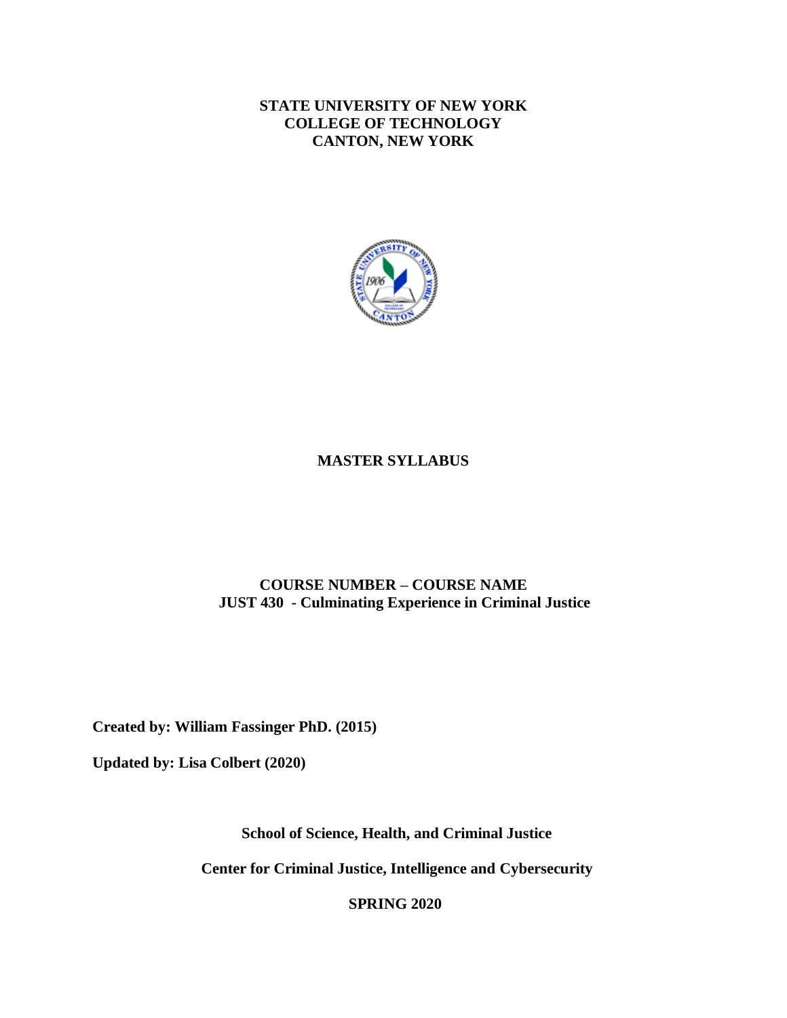# **STATE UNIVERSITY OF NEW YORK COLLEGE OF TECHNOLOGY CANTON, NEW YORK**



# **MASTER SYLLABUS**

# **COURSE NUMBER – COURSE NAME JUST 430 - Culminating Experience in Criminal Justice**

**Created by: William Fassinger PhD. (2015)** 

**Updated by: Lisa Colbert (2020)** 

**School of Science, Health, and Criminal Justice** 

**Center for Criminal Justice, Intelligence and Cybersecurity** 

**SPRING 2020**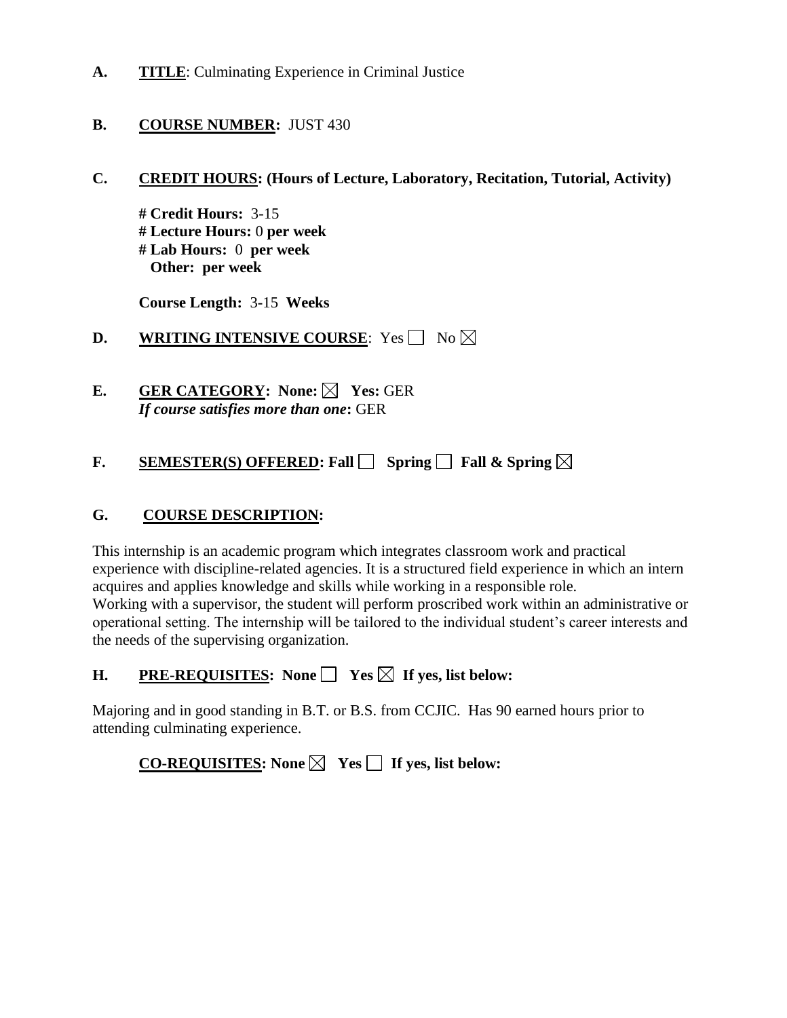**A. TITLE**: Culminating Experience in Criminal Justice

# **B.** COURSE NUMBER: JUST 430

**C. CREDIT HOURS: (Hours of Lecture, Laboratory, Recitation, Tutorial, Activity)** 

 **# Lab Hours:** 0 **per week # Credit Hours:** 3-15 **# Lecture Hours:** 0 **per week Other: per week** 

 **Course Length:** 3**-**15 **Weeks** 

**D.** WRITING INTENSIVE COURSE: Yes  $\Box$  No

**E.** GER CATEGORY: None: ⊠ Yes: GER *If course satisfies more than one***:** GER

**F. SEMESTER(S) OFFERED:** Fall  $\Box$  Spring  $\Box$  Fall & Spring

# **G. COURSE DESCRIPTION:**

This internship is an academic program which integrates classroom work and practical experience with discipline-related agencies. It is a structured field experience in which an intern acquires and applies knowledge and skills while working in a responsible role. Working with a supervisor, the student will perform proscribed work within an administrative or operational setting. The internship will be tailored to the individual student's career interests and the needs of the supervising organization.

**H.** PRE-REQUISITES: None │ Yes ⊠ If yes, list below:

Majoring and in good standing in B.T. or B.S. from CCJIC. Has 90 earned hours prior to attending culminating experience.

**CO-REQUISITES:** None  $\boxtimes$  Yes  $\Box$  If yes, list below: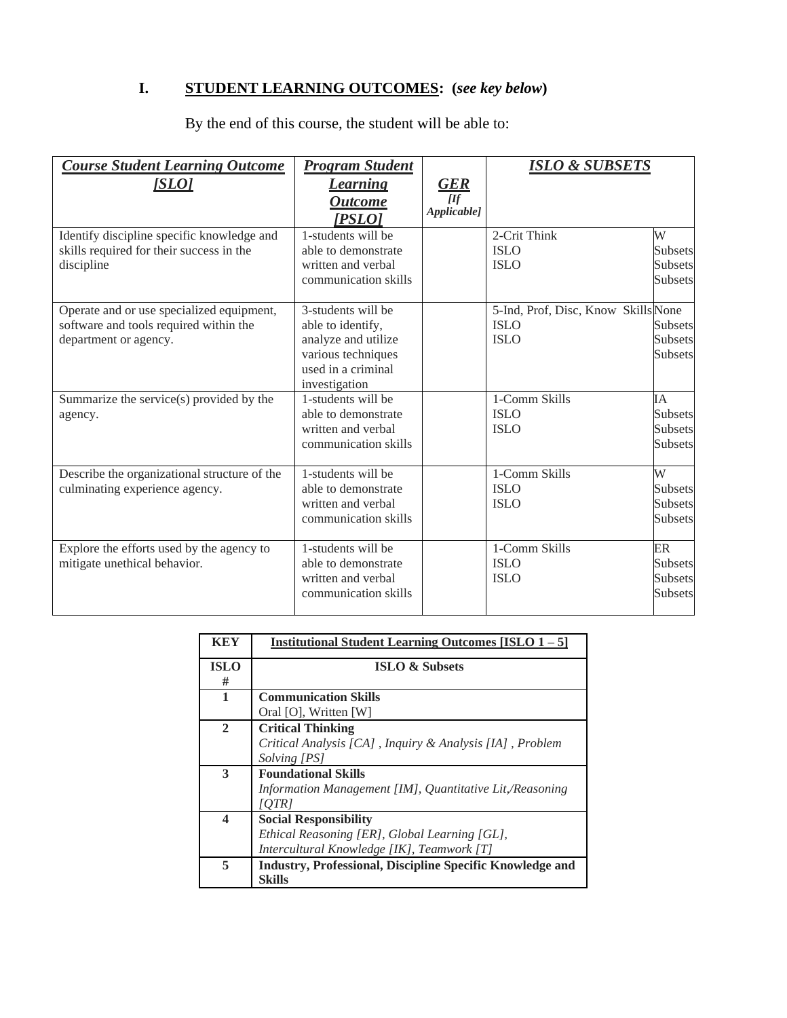# **I. STUDENT LEARNING OUTCOMES: (***see key below***)**

By the end of this course, the student will be able to:

| <b>Course Student Learning Outcome</b><br>[SLO]                                                              | <b>Program Student</b><br><b>Learning</b><br><b>Outcome</b><br>[PSLO]                                                       | <b>GER</b><br>[<br>Applicable] | <u>ISLO &amp; SUBSETS</u>                                         |                                                   |
|--------------------------------------------------------------------------------------------------------------|-----------------------------------------------------------------------------------------------------------------------------|--------------------------------|-------------------------------------------------------------------|---------------------------------------------------|
| Identify discipline specific knowledge and<br>skills required for their success in the<br>discipline         | 1-students will be<br>able to demonstrate<br>written and verbal<br>communication skills                                     |                                | 2-Crit Think<br><b>ISLO</b><br><b>ISLO</b>                        | W<br><b>Subsets</b><br>Subsets<br>Subsets         |
| Operate and or use specialized equipment,<br>software and tools required within the<br>department or agency. | 3-students will be<br>able to identify,<br>analyze and utilize<br>various techniques<br>used in a criminal<br>investigation |                                | 5-Ind, Prof, Disc, Know Skills None<br><b>ISLO</b><br><b>ISLO</b> | <b>Subsets</b><br><b>Subsets</b><br>Subsets       |
| Summarize the service(s) provided by the<br>agency.                                                          | 1-students will be<br>able to demonstrate<br>written and verbal<br>communication skills                                     |                                | 1-Comm Skills<br><b>ISLO</b><br><b>ISLO</b>                       | IA<br><b>Subsets</b><br>Subsets<br><b>Subsets</b> |
| Describe the organizational structure of the<br>culminating experience agency.                               | 1-students will be<br>able to demonstrate<br>written and verbal<br>communication skills                                     |                                | 1-Comm Skills<br><b>ISLO</b><br><b>ISLO</b>                       | W<br>Subsets<br><b>Subsets</b><br><b>Subsets</b>  |
| Explore the efforts used by the agency to<br>mitigate unethical behavior.                                    | 1-students will be<br>able to demonstrate<br>written and verbal<br>communication skills                                     |                                | 1-Comm Skills<br><b>ISLO</b><br><b>ISLO</b>                       | <b>ER</b><br>Subsets<br>Subsets<br>Subsets        |

| KEY              | <b>Institutional Student Learning Outcomes [ISLO 1 – 5]</b>      |  |  |
|------------------|------------------------------------------------------------------|--|--|
| <b>ISLO</b>      | <b>ISLO &amp; Subsets</b>                                        |  |  |
| #                |                                                                  |  |  |
| 1                | <b>Communication Skills</b>                                      |  |  |
|                  | Oral [O], Written [W]                                            |  |  |
| $\overline{2}$   | <b>Critical Thinking</b>                                         |  |  |
|                  | Critical Analysis [CA], Inquiry & Analysis [IA], Problem         |  |  |
|                  | Solving [PS]                                                     |  |  |
| 3                | <b>Foundational Skills</b>                                       |  |  |
|                  | Information Management [IM], Quantitative Lit,/Reasoning         |  |  |
|                  | [OTR]                                                            |  |  |
| $\boldsymbol{4}$ | <b>Social Responsibility</b>                                     |  |  |
|                  | Ethical Reasoning [ER], Global Learning [GL],                    |  |  |
|                  | Intercultural Knowledge [IK], Teamwork [T]                       |  |  |
| 5                | <b>Industry, Professional, Discipline Specific Knowledge and</b> |  |  |
|                  | <b>Skills</b>                                                    |  |  |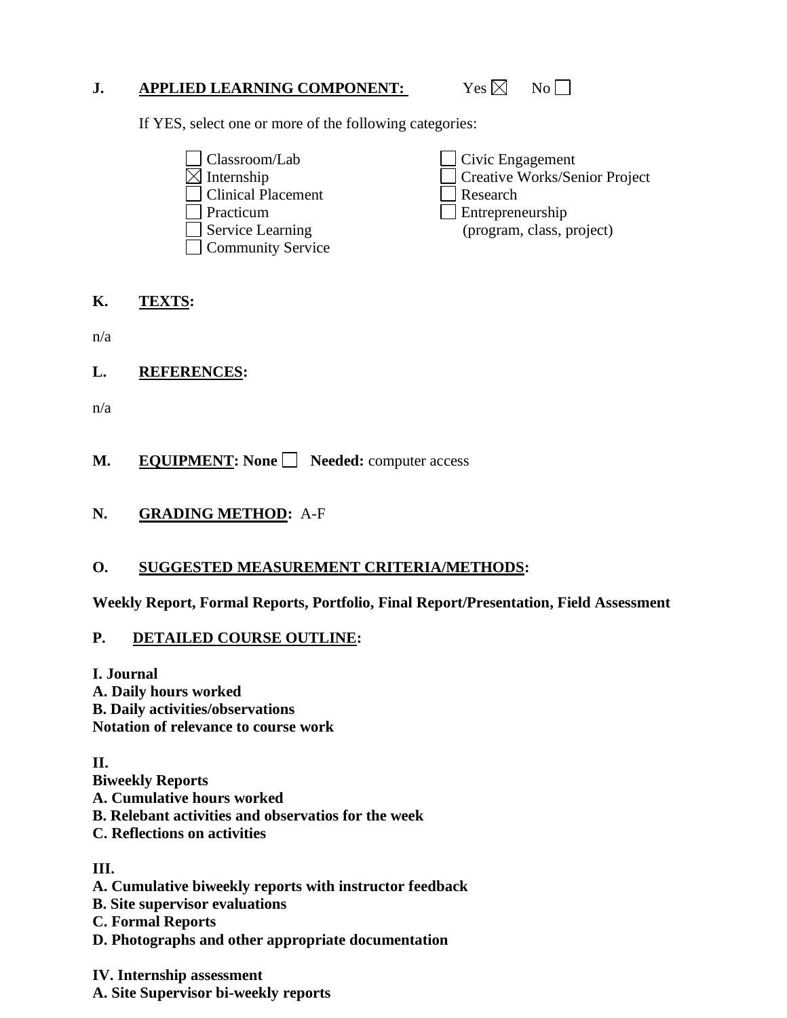# **J.** APPLIED LEARNING COMPONENT: Yes ⊠ No □

Yes  $\boxtimes$ 

If YES, select one or more of the following categories:

 $\Box$  Classroom/Lab  $\boxtimes$  Internship  $\Box$  Clinical Placement  $\Box$  Research Practicum<br>Service Learning  $\Box$   $\mathcal{S}$ □ Community Service  $\sqcup_{\mathcal{L}}^{\mathcal{L}}$ □ Internship Creative Works/Senior Project ᆸᇟ Practicum Entrepreneurship Civic Engagement (program, class, project)

#### **K. TEXTS:**

n/a

**L. REFERENCES:** 

n/a

**M. EQUIPMENT:** None **Seeded:** computer access

**N. GRADING METHOD:** A-F

# **O. SUGGESTED MEASUREMENT CRITERIA/METHODS:**

**Weekly Report, Formal Reports, Portfolio, Final Report/Presentation, Field Assessment** 

# **P. DETAILED COURSE OUTLINE:**

**I. Journal** 

**A. Daily hours worked B. Daily activities/observations Notation of relevance to course work** 

**II.** 

- **Biweekly Reports**
- **A. Cumulative hours worked**
- **B. Relebant activities and observatios for the week**
- **C. Reflections on activities**

# **III.**

- **A. Cumulative biweekly reports with instructor feedback**
- **B. Site supervisor evaluations**
- **C. Formal Reports**
- **D. Photographs and other appropriate documentation**

**IV. Internship assessment A. Site Supervisor bi-weekly reports**